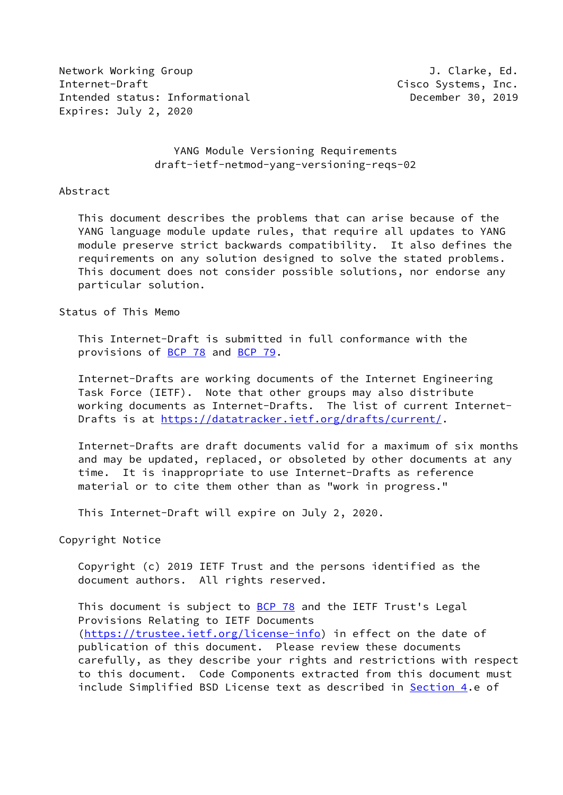Network Working Group **J. Clarke, Ed.** Internet-Draft Cisco Systems, Inc. Intended status: Informational **December 30, 2019** Expires: July 2, 2020

## YANG Module Versioning Requirements draft-ietf-netmod-yang-versioning-reqs-02

#### Abstract

 This document describes the problems that can arise because of the YANG language module update rules, that require all updates to YANG module preserve strict backwards compatibility. It also defines the requirements on any solution designed to solve the stated problems. This document does not consider possible solutions, nor endorse any particular solution.

Status of This Memo

 This Internet-Draft is submitted in full conformance with the provisions of [BCP 78](https://datatracker.ietf.org/doc/pdf/bcp78) and [BCP 79](https://datatracker.ietf.org/doc/pdf/bcp79).

 Internet-Drafts are working documents of the Internet Engineering Task Force (IETF). Note that other groups may also distribute working documents as Internet-Drafts. The list of current Internet- Drafts is at<https://datatracker.ietf.org/drafts/current/>.

 Internet-Drafts are draft documents valid for a maximum of six months and may be updated, replaced, or obsoleted by other documents at any time. It is inappropriate to use Internet-Drafts as reference material or to cite them other than as "work in progress."

This Internet-Draft will expire on July 2, 2020.

Copyright Notice

 Copyright (c) 2019 IETF Trust and the persons identified as the document authors. All rights reserved.

This document is subject to **[BCP 78](https://datatracker.ietf.org/doc/pdf/bcp78)** and the IETF Trust's Legal Provisions Relating to IETF Documents [\(https://trustee.ietf.org/license-info](https://trustee.ietf.org/license-info)) in effect on the date of publication of this document. Please review these documents carefully, as they describe your rights and restrictions with respect to this document. Code Components extracted from this document must include Simplified BSD License text as described in [Section 4.](#page-7-0)e of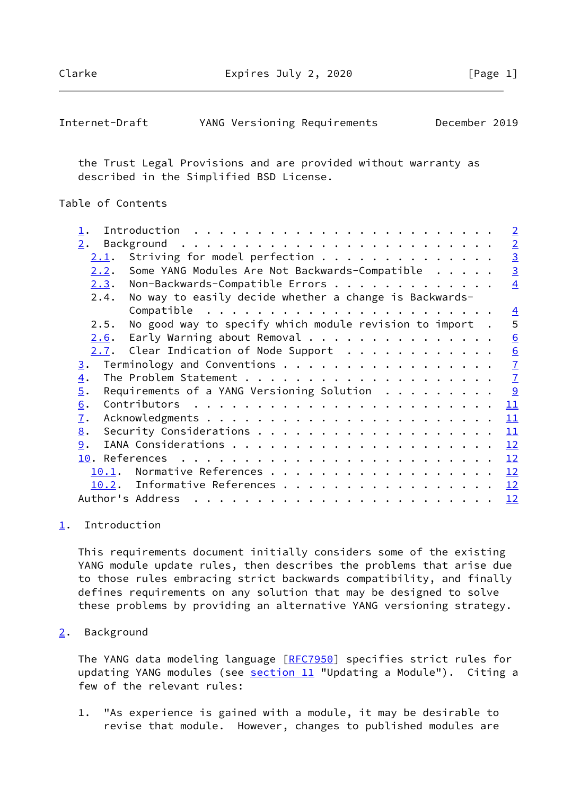Clarke Expires July 2, 2020 [Page 1]

<span id="page-1-1"></span>

| Internet-Draft |  |  | YANG Versioning Requirements | December 2019 |  |
|----------------|--|--|------------------------------|---------------|--|
|----------------|--|--|------------------------------|---------------|--|

 the Trust Legal Provisions and are provided without warranty as described in the Simplified BSD License.

# Table of Contents

|                  |                                                         | $\sqrt{2}$     |
|------------------|---------------------------------------------------------|----------------|
| 2.               |                                                         | $\overline{2}$ |
| <u>2.1</u> .     | Striving for model perfection                           | $\overline{3}$ |
| 2.2.             | Some YANG Modules Are Not Backwards-Compatible          | $\overline{3}$ |
| 2.3.             | Non-Backwards-Compatible Errors                         | $\overline{4}$ |
| 2.4.             | No way to easily decide whether a change is Backwards-  |                |
|                  |                                                         | $\overline{4}$ |
| 2.5.             | No good way to specify which module revision to import. | 5              |
| 2.6.             | Early Warning about Removal                             | 6              |
|                  | $2.7.$ Clear Indication of Node Support                 | 6              |
| $\overline{3}$ . | Terminology and Conventions                             | $\overline{1}$ |
| $\overline{4}$ . |                                                         | $\overline{1}$ |
| 5.               | Requirements of a YANG Versioning Solution $\ldots$     | 9              |
| 6.               |                                                         | 11             |
| $\overline{1}$ . |                                                         | 11             |
| 8.               |                                                         | 11             |
| 9.               |                                                         | 12             |
|                  |                                                         | 12             |
| 10.1.            |                                                         | 12             |
| 10.2.            | Informative References                                  | <u> 12</u>     |
|                  |                                                         | 12             |
|                  |                                                         |                |

### <span id="page-1-0"></span>[1](#page-1-0). Introduction

 This requirements document initially considers some of the existing YANG module update rules, then describes the problems that arise due to those rules embracing strict backwards compatibility, and finally defines requirements on any solution that may be designed to solve these problems by providing an alternative YANG versioning strategy.

### <span id="page-1-2"></span>[2](#page-1-2). Background

The YANG data modeling language [\[RFC7950](https://datatracker.ietf.org/doc/pdf/rfc7950)] specifies strict rules for updating YANG modules (see section 11 "Updating a Module"). Citing a few of the relevant rules:

 1. "As experience is gained with a module, it may be desirable to revise that module. However, changes to published modules are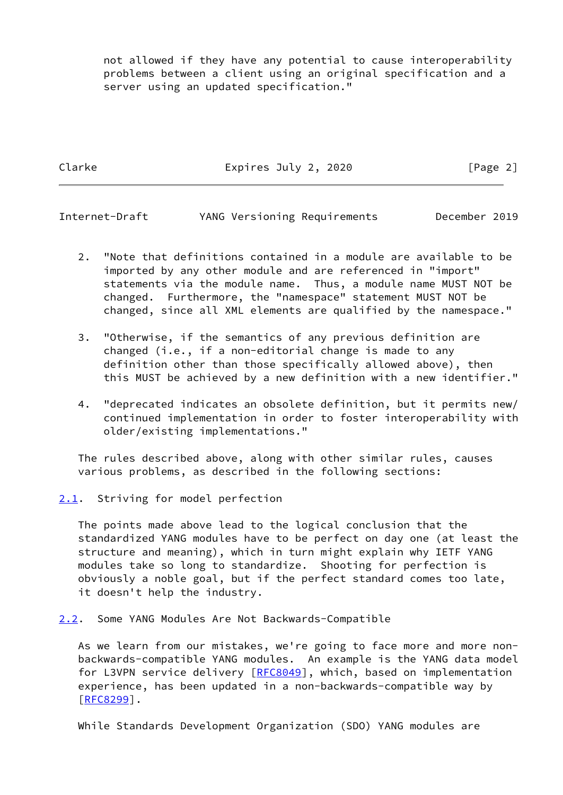not allowed if they have any potential to cause interoperability problems between a client using an original specification and a server using an updated specification."

Clarke Expires July 2, 2020 [Page 2]

<span id="page-2-1"></span>Internet-Draft YANG Versioning Requirements December 2019

- 2. "Note that definitions contained in a module are available to be imported by any other module and are referenced in "import" statements via the module name. Thus, a module name MUST NOT be changed. Furthermore, the "namespace" statement MUST NOT be changed, since all XML elements are qualified by the namespace."
- 3. "Otherwise, if the semantics of any previous definition are changed (i.e., if a non-editorial change is made to any definition other than those specifically allowed above), then this MUST be achieved by a new definition with a new identifier."
- 4. "deprecated indicates an obsolete definition, but it permits new/ continued implementation in order to foster interoperability with older/existing implementations."

 The rules described above, along with other similar rules, causes various problems, as described in the following sections:

<span id="page-2-0"></span>[2.1](#page-2-0). Striving for model perfection

 The points made above lead to the logical conclusion that the standardized YANG modules have to be perfect on day one (at least the structure and meaning), which in turn might explain why IETF YANG modules take so long to standardize. Shooting for perfection is obviously a noble goal, but if the perfect standard comes too late, it doesn't help the industry.

<span id="page-2-2"></span>[2.2](#page-2-2). Some YANG Modules Are Not Backwards-Compatible

 As we learn from our mistakes, we're going to face more and more non backwards-compatible YANG modules. An example is the YANG data model for L3VPN service delivery [[RFC8049\]](https://datatracker.ietf.org/doc/pdf/rfc8049), which, based on implementation experience, has been updated in a non-backwards-compatible way by [\[RFC8299](https://datatracker.ietf.org/doc/pdf/rfc8299)].

While Standards Development Organization (SDO) YANG modules are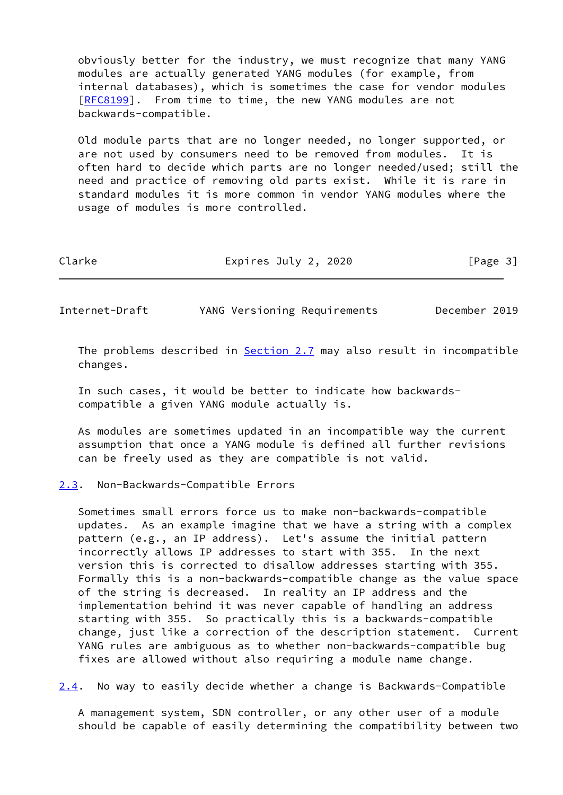obviously better for the industry, we must recognize that many YANG modules are actually generated YANG modules (for example, from internal databases), which is sometimes the case for vendor modules [\[RFC8199](https://datatracker.ietf.org/doc/pdf/rfc8199)]. From time to time, the new YANG modules are not backwards-compatible.

 Old module parts that are no longer needed, no longer supported, or are not used by consumers need to be removed from modules. It is often hard to decide which parts are no longer needed/used; still the need and practice of removing old parts exist. While it is rare in standard modules it is more common in vendor YANG modules where the usage of modules is more controlled.

Clarke Expires July 2, 2020 [Page 3]

<span id="page-3-1"></span>Internet-Draft YANG Versioning Requirements December 2019

The problems described in **Section 2.7** may also result in incompatible changes.

 In such cases, it would be better to indicate how backwards compatible a given YANG module actually is.

 As modules are sometimes updated in an incompatible way the current assumption that once a YANG module is defined all further revisions can be freely used as they are compatible is not valid.

### <span id="page-3-0"></span>[2.3](#page-3-0). Non-Backwards-Compatible Errors

 Sometimes small errors force us to make non-backwards-compatible updates. As an example imagine that we have a string with a complex pattern (e.g., an IP address). Let's assume the initial pattern incorrectly allows IP addresses to start with 355. In the next version this is corrected to disallow addresses starting with 355. Formally this is a non-backwards-compatible change as the value space of the string is decreased. In reality an IP address and the implementation behind it was never capable of handling an address starting with 355. So practically this is a backwards-compatible change, just like a correction of the description statement. Current YANG rules are ambiguous as to whether non-backwards-compatible bug fixes are allowed without also requiring a module name change.

<span id="page-3-2"></span>[2.4](#page-3-2). No way to easily decide whether a change is Backwards-Compatible

 A management system, SDN controller, or any other user of a module should be capable of easily determining the compatibility between two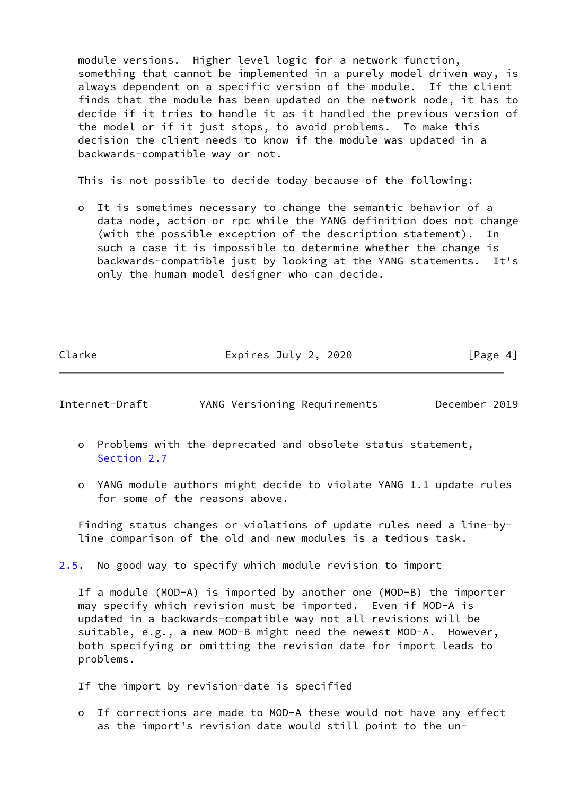module versions. Higher level logic for a network function, something that cannot be implemented in a purely model driven way, is always dependent on a specific version of the module. If the client finds that the module has been updated on the network node, it has to decide if it tries to handle it as it handled the previous version of the model or if it just stops, to avoid problems. To make this decision the client needs to know if the module was updated in a backwards-compatible way or not.

This is not possible to decide today because of the following:

 o It is sometimes necessary to change the semantic behavior of a data node, action or rpc while the YANG definition does not change (with the possible exception of the description statement). In such a case it is impossible to determine whether the change is backwards-compatible just by looking at the YANG statements. It's only the human model designer who can decide.

Clarke Expires July 2, 2020 [Page 4]

Internet-Draft YANG Versioning Requirements December 2019

- o Problems with the deprecated and obsolete status statement, [Section 2.7](#page-6-0)
- o YANG module authors might decide to violate YANG 1.1 update rules for some of the reasons above.

 Finding status changes or violations of update rules need a line-by line comparison of the old and new modules is a tedious task.

<span id="page-4-0"></span>[2.5](#page-4-0). No good way to specify which module revision to import

 If a module (MOD-A) is imported by another one (MOD-B) the importer may specify which revision must be imported. Even if MOD-A is updated in a backwards-compatible way not all revisions will be suitable, e.g., a new MOD-B might need the newest MOD-A. However, both specifying or omitting the revision date for import leads to problems.

If the import by revision-date is specified

 o If corrections are made to MOD-A these would not have any effect as the import's revision date would still point to the un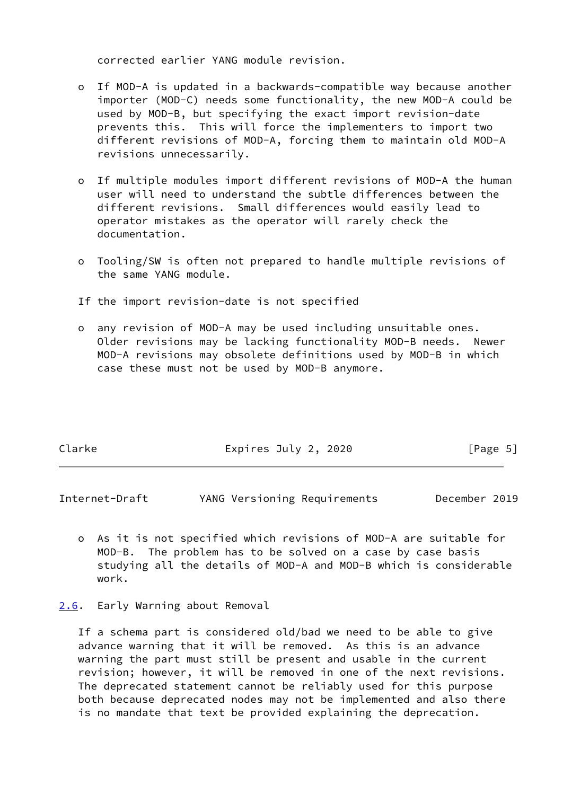corrected earlier YANG module revision.

- o If MOD-A is updated in a backwards-compatible way because another importer (MOD-C) needs some functionality, the new MOD-A could be used by MOD-B, but specifying the exact import revision-date prevents this. This will force the implementers to import two different revisions of MOD-A, forcing them to maintain old MOD-A revisions unnecessarily.
- o If multiple modules import different revisions of MOD-A the human user will need to understand the subtle differences between the different revisions. Small differences would easily lead to operator mistakes as the operator will rarely check the documentation.
- o Tooling/SW is often not prepared to handle multiple revisions of the same YANG module.
- If the import revision-date is not specified
- o any revision of MOD-A may be used including unsuitable ones. Older revisions may be lacking functionality MOD-B needs. Newer MOD-A revisions may obsolete definitions used by MOD-B in which case these must not be used by MOD-B anymore.

| Clarke | Expires July 2, 2020 | [Page 5] |
|--------|----------------------|----------|
|        |                      |          |

<span id="page-5-1"></span>Internet-Draft YANG Versioning Requirements December 2019

- o As it is not specified which revisions of MOD-A are suitable for MOD-B. The problem has to be solved on a case by case basis studying all the details of MOD-A and MOD-B which is considerable work.
- <span id="page-5-0"></span>[2.6](#page-5-0). Early Warning about Removal

 If a schema part is considered old/bad we need to be able to give advance warning that it will be removed. As this is an advance warning the part must still be present and usable in the current revision; however, it will be removed in one of the next revisions. The deprecated statement cannot be reliably used for this purpose both because deprecated nodes may not be implemented and also there is no mandate that text be provided explaining the deprecation.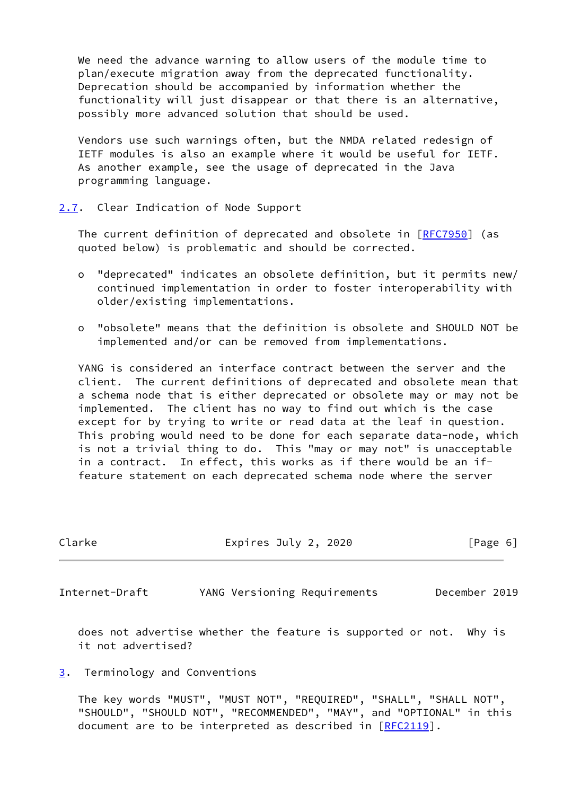We need the advance warning to allow users of the module time to plan/execute migration away from the deprecated functionality. Deprecation should be accompanied by information whether the functionality will just disappear or that there is an alternative, possibly more advanced solution that should be used.

 Vendors use such warnings often, but the NMDA related redesign of IETF modules is also an example where it would be useful for IETF. As another example, see the usage of deprecated in the Java programming language.

<span id="page-6-0"></span>[2.7](#page-6-0). Clear Indication of Node Support

The current definition of deprecated and obsolete in [\[RFC7950](https://datatracker.ietf.org/doc/pdf/rfc7950)] (as quoted below) is problematic and should be corrected.

- o "deprecated" indicates an obsolete definition, but it permits new/ continued implementation in order to foster interoperability with older/existing implementations.
- o "obsolete" means that the definition is obsolete and SHOULD NOT be implemented and/or can be removed from implementations.

 YANG is considered an interface contract between the server and the client. The current definitions of deprecated and obsolete mean that a schema node that is either deprecated or obsolete may or may not be implemented. The client has no way to find out which is the case except for by trying to write or read data at the leaf in question. This probing would need to be done for each separate data-node, which is not a trivial thing to do. This "may or may not" is unacceptable in a contract. In effect, this works as if there would be an if feature statement on each deprecated schema node where the server

<span id="page-6-2"></span>

| Clarke         | Expires July 2, 2020         |               |
|----------------|------------------------------|---------------|
| Internet-Draft | YANG Versioning Requirements | December 2019 |

 does not advertise whether the feature is supported or not. Why is it not advertised?

<span id="page-6-1"></span>[3](#page-6-1). Terminology and Conventions

 The key words "MUST", "MUST NOT", "REQUIRED", "SHALL", "SHALL NOT", "SHOULD", "SHOULD NOT", "RECOMMENDED", "MAY", and "OPTIONAL" in this document are to be interpreted as described in [\[RFC2119](https://datatracker.ietf.org/doc/pdf/rfc2119)].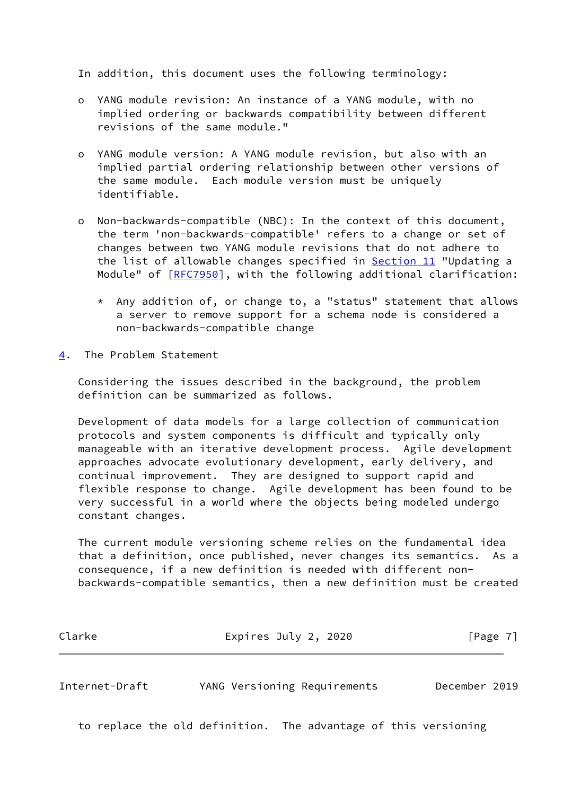In addition, this document uses the following terminology:

- o YANG module revision: An instance of a YANG module, with no implied ordering or backwards compatibility between different revisions of the same module."
- o YANG module version: A YANG module revision, but also with an implied partial ordering relationship between other versions of the same module. Each module version must be uniquely identifiable.
- o Non-backwards-compatible (NBC): In the context of this document, the term 'non-backwards-compatible' refers to a change or set of changes between two YANG module revisions that do not adhere to the list of allowable changes specified in Section 11 "Updating a Module" of [[RFC7950](https://datatracker.ietf.org/doc/pdf/rfc7950)], with the following additional clarification:
	- \* Any addition of, or change to, a "status" statement that allows a server to remove support for a schema node is considered a non-backwards-compatible change
- <span id="page-7-0"></span>[4](#page-7-0). The Problem Statement

 Considering the issues described in the background, the problem definition can be summarized as follows.

 Development of data models for a large collection of communication protocols and system components is difficult and typically only manageable with an iterative development process. Agile development approaches advocate evolutionary development, early delivery, and continual improvement. They are designed to support rapid and flexible response to change. Agile development has been found to be very successful in a world where the objects being modeled undergo constant changes.

 The current module versioning scheme relies on the fundamental idea that a definition, once published, never changes its semantics. As a consequence, if a new definition is needed with different non backwards-compatible semantics, then a new definition must be created

| Clarke | Expires July 2, 2020 | [Page 7] |
|--------|----------------------|----------|
|--------|----------------------|----------|

Internet-Draft YANG Versioning Requirements December 2019

to replace the old definition. The advantage of this versioning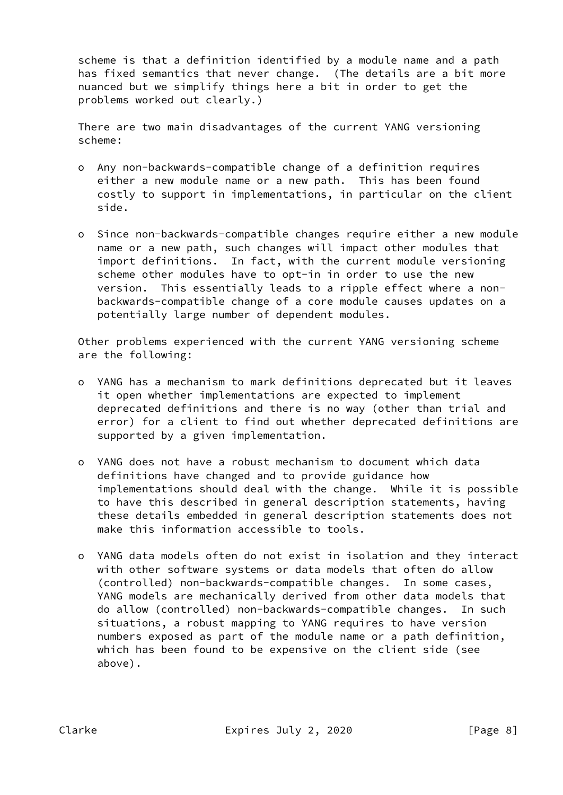scheme is that a definition identified by a module name and a path has fixed semantics that never change. (The details are a bit more nuanced but we simplify things here a bit in order to get the problems worked out clearly.)

 There are two main disadvantages of the current YANG versioning scheme:

- o Any non-backwards-compatible change of a definition requires either a new module name or a new path. This has been found costly to support in implementations, in particular on the client side.
- o Since non-backwards-compatible changes require either a new module name or a new path, such changes will impact other modules that import definitions. In fact, with the current module versioning scheme other modules have to opt-in in order to use the new version. This essentially leads to a ripple effect where a non backwards-compatible change of a core module causes updates on a potentially large number of dependent modules.

 Other problems experienced with the current YANG versioning scheme are the following:

- o YANG has a mechanism to mark definitions deprecated but it leaves it open whether implementations are expected to implement deprecated definitions and there is no way (other than trial and error) for a client to find out whether deprecated definitions are supported by a given implementation.
- o YANG does not have a robust mechanism to document which data definitions have changed and to provide guidance how implementations should deal with the change. While it is possible to have this described in general description statements, having these details embedded in general description statements does not make this information accessible to tools.
- o YANG data models often do not exist in isolation and they interact with other software systems or data models that often do allow (controlled) non-backwards-compatible changes. In some cases, YANG models are mechanically derived from other data models that do allow (controlled) non-backwards-compatible changes. In such situations, a robust mapping to YANG requires to have version numbers exposed as part of the module name or a path definition, which has been found to be expensive on the client side (see above).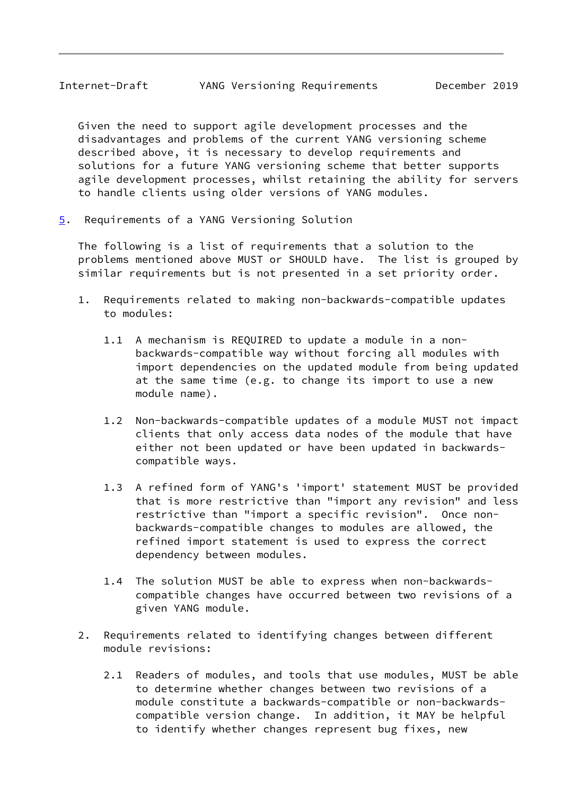<span id="page-9-1"></span> Given the need to support agile development processes and the disadvantages and problems of the current YANG versioning scheme described above, it is necessary to develop requirements and solutions for a future YANG versioning scheme that better supports agile development processes, whilst retaining the ability for servers to handle clients using older versions of YANG modules.

<span id="page-9-0"></span>[5](#page-9-0). Requirements of a YANG Versioning Solution

 The following is a list of requirements that a solution to the problems mentioned above MUST or SHOULD have. The list is grouped by similar requirements but is not presented in a set priority order.

- 1. Requirements related to making non-backwards-compatible updates to modules:
	- 1.1 A mechanism is REQUIRED to update a module in a non backwards-compatible way without forcing all modules with import dependencies on the updated module from being updated at the same time (e.g. to change its import to use a new module name).
	- 1.2 Non-backwards-compatible updates of a module MUST not impact clients that only access data nodes of the module that have either not been updated or have been updated in backwards compatible ways.
	- 1.3 A refined form of YANG's 'import' statement MUST be provided that is more restrictive than "import any revision" and less restrictive than "import a specific revision". Once non backwards-compatible changes to modules are allowed, the refined import statement is used to express the correct dependency between modules.
	- 1.4 The solution MUST be able to express when non-backwards compatible changes have occurred between two revisions of a given YANG module.
- 2. Requirements related to identifying changes between different module revisions:
	- 2.1 Readers of modules, and tools that use modules, MUST be able to determine whether changes between two revisions of a module constitute a backwards-compatible or non-backwards compatible version change. In addition, it MAY be helpful to identify whether changes represent bug fixes, new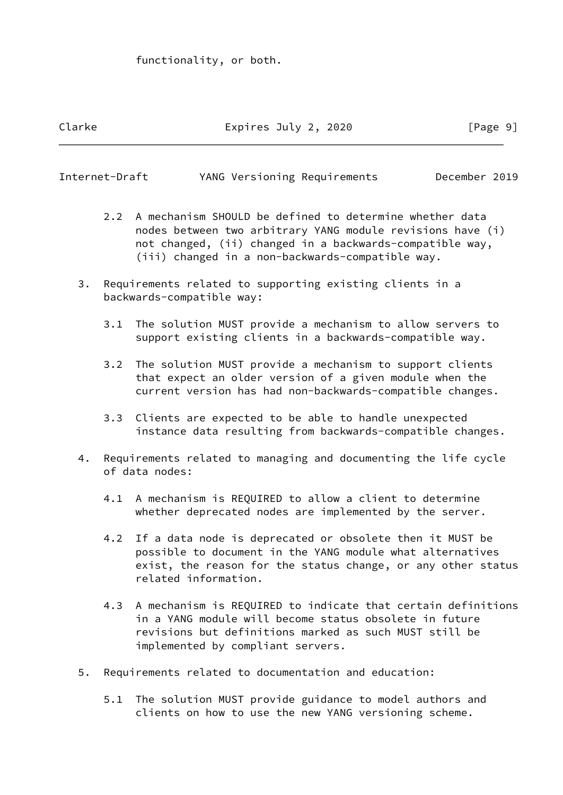functionality, or both.

# Clarke Expires July 2, 2020 [Page 9]

| Internet-Draft |  | YANG Versioning Requirements | December 2019 |  |
|----------------|--|------------------------------|---------------|--|
|                |  |                              |               |  |

- 2.2 A mechanism SHOULD be defined to determine whether data nodes between two arbitrary YANG module revisions have (i) not changed, (ii) changed in a backwards-compatible way, (iii) changed in a non-backwards-compatible way.
- 3. Requirements related to supporting existing clients in a backwards-compatible way:
	- 3.1 The solution MUST provide a mechanism to allow servers to support existing clients in a backwards-compatible way.
	- 3.2 The solution MUST provide a mechanism to support clients that expect an older version of a given module when the current version has had non-backwards-compatible changes.
	- 3.3 Clients are expected to be able to handle unexpected instance data resulting from backwards-compatible changes.
- 4. Requirements related to managing and documenting the life cycle of data nodes:
	- 4.1 A mechanism is REQUIRED to allow a client to determine whether deprecated nodes are implemented by the server.
	- 4.2 If a data node is deprecated or obsolete then it MUST be possible to document in the YANG module what alternatives exist, the reason for the status change, or any other status related information.
	- 4.3 A mechanism is REQUIRED to indicate that certain definitions in a YANG module will become status obsolete in future revisions but definitions marked as such MUST still be implemented by compliant servers.
- 5. Requirements related to documentation and education:
	- 5.1 The solution MUST provide guidance to model authors and clients on how to use the new YANG versioning scheme.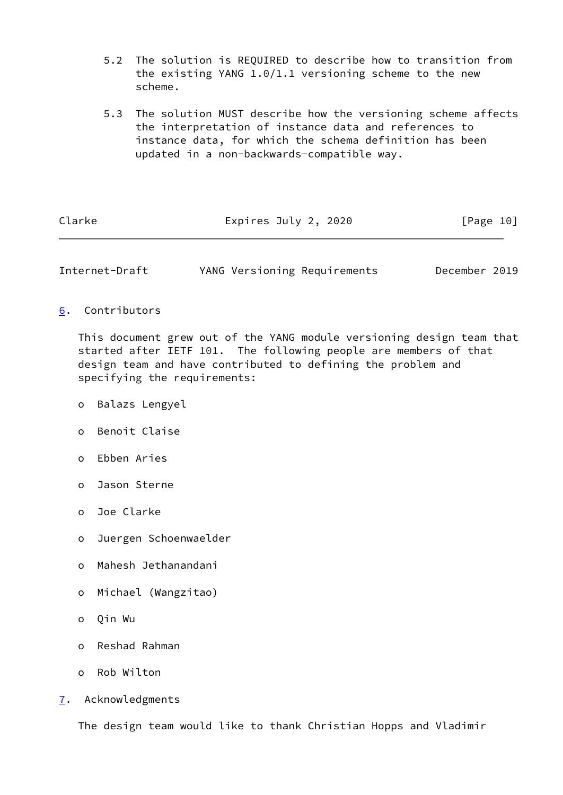- 5.2 The solution is REQUIRED to describe how to transition from the existing YANG 1.0/1.1 versioning scheme to the new scheme.
- 5.3 The solution MUST describe how the versioning scheme affects the interpretation of instance data and references to instance data, for which the schema definition has been updated in a non-backwards-compatible way.

| Clarke | Expires July 2, 2020 | [Page 10] |
|--------|----------------------|-----------|
|        |                      |           |

<span id="page-11-1"></span>Internet-Draft YANG Versioning Requirements December 2019

<span id="page-11-0"></span>[6](#page-11-0). Contributors

 This document grew out of the YANG module versioning design team that started after IETF 101. The following people are members of that design team and have contributed to defining the problem and specifying the requirements:

- o Balazs Lengyel
- o Benoit Claise
- o Ebben Aries
- o Jason Sterne
- o Joe Clarke
- o Juergen Schoenwaelder
- o Mahesh Jethanandani
- o Michael (Wangzitao)
- o Qin Wu
- o Reshad Rahman
- o Rob Wilton
- <span id="page-11-2"></span>[7](#page-11-2). Acknowledgments

The design team would like to thank Christian Hopps and Vladimir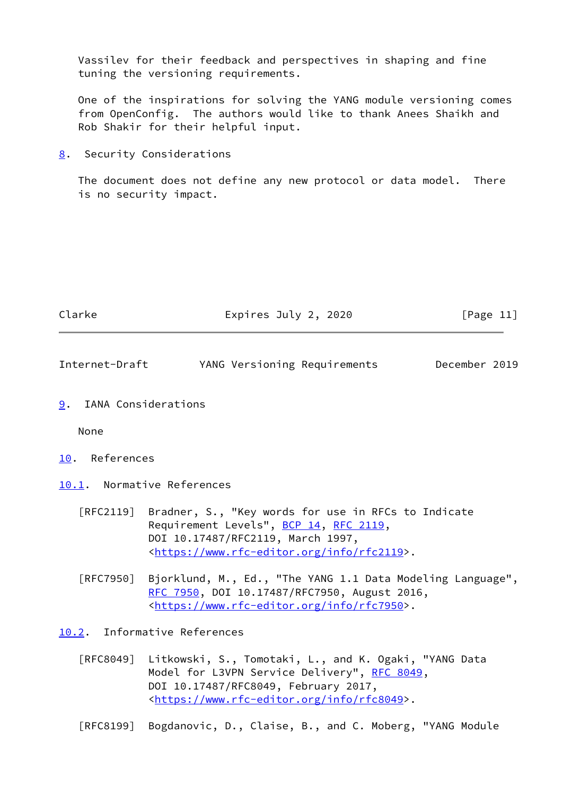Vassilev for their feedback and perspectives in shaping and fine tuning the versioning requirements.

 One of the inspirations for solving the YANG module versioning comes from OpenConfig. The authors would like to thank Anees Shaikh and Rob Shakir for their helpful input.

<span id="page-12-0"></span>[8](#page-12-0). Security Considerations

 The document does not define any new protocol or data model. There is no security impact.

<span id="page-12-2"></span><span id="page-12-1"></span>

| Clarke         | Expires July 2, 2020                                                                                                                         | [Page 11]     |  |
|----------------|----------------------------------------------------------------------------------------------------------------------------------------------|---------------|--|
| Internet-Draft | YANG Versioning Requirements                                                                                                                 | December 2019 |  |
| 9.             | IANA Considerations                                                                                                                          |               |  |
| None           |                                                                                                                                              |               |  |
| 10. References |                                                                                                                                              |               |  |
|                | 10.1. Normative References                                                                                                                   |               |  |
|                | [RFC2119] Bradner, S., "Key words for use in RFCs to Indicate<br>Requirement Levels", BCP 14, RFC 2119,<br>DOI 10.17487/RFC2119, March 1997, |               |  |

<span id="page-12-4"></span><span id="page-12-3"></span>[RFC7950] Bjorklund, M., Ed., "The YANG 1.1 Data Modeling Language", [RFC 7950,](https://datatracker.ietf.org/doc/pdf/rfc7950) DOI 10.17487/RFC7950, August 2016, <[https://www.rfc-editor.org/info/rfc7950>](https://www.rfc-editor.org/info/rfc7950).

<[https://www.rfc-editor.org/info/rfc2119>](https://www.rfc-editor.org/info/rfc2119).

<span id="page-12-5"></span>[10.2](#page-12-5). Informative References

[RFC8049] Litkowski, S., Tomotaki, L., and K. Ogaki, "YANG Data Model for L3VPN Service Delivery", [RFC 8049](https://datatracker.ietf.org/doc/pdf/rfc8049), DOI 10.17487/RFC8049, February 2017, <[https://www.rfc-editor.org/info/rfc8049>](https://www.rfc-editor.org/info/rfc8049).

[RFC8199] Bogdanovic, D., Claise, B., and C. Moberg, "YANG Module